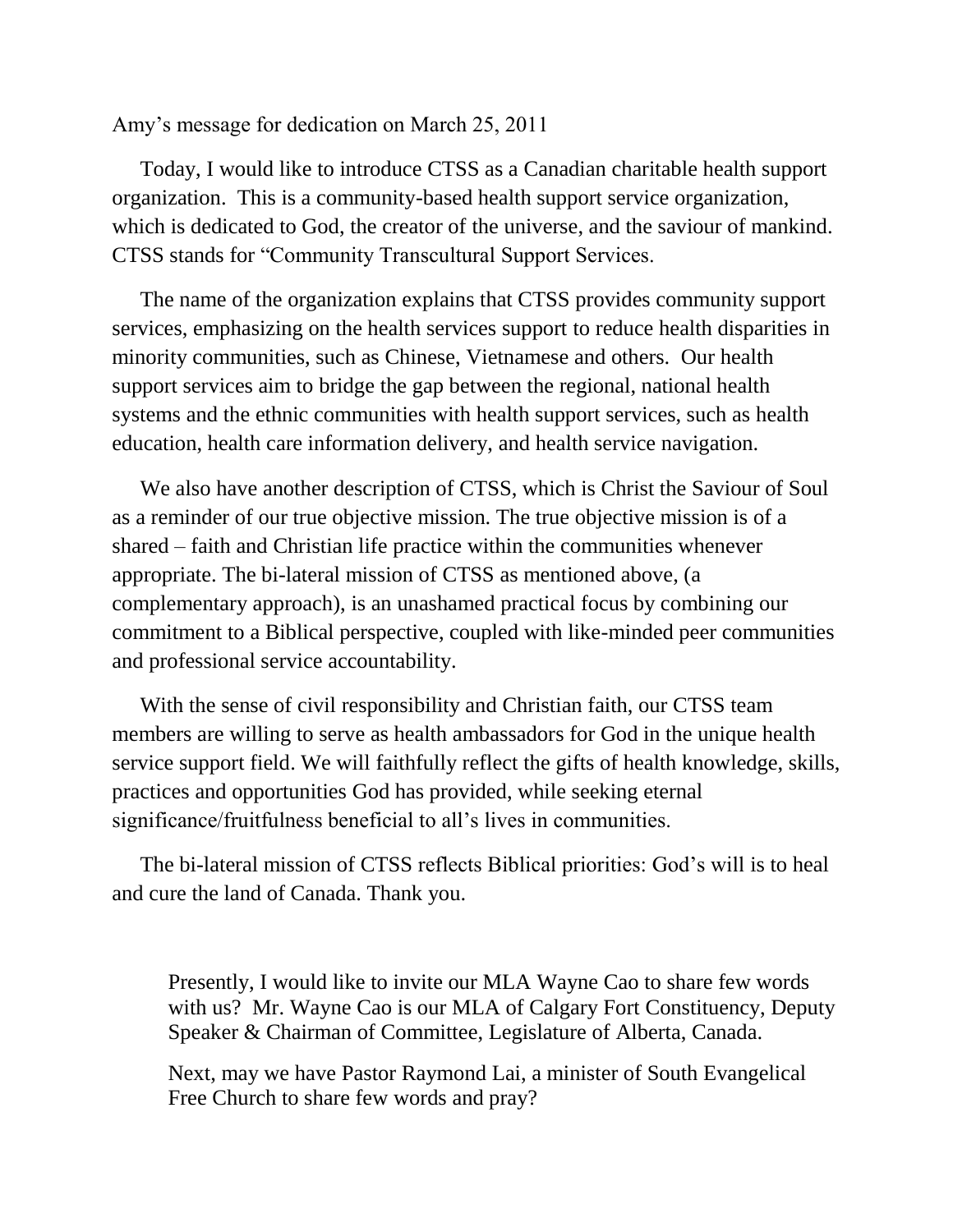Amy's message for dedication on March 25, 2011

Today, I would like to introduce CTSS as a Canadian charitable health support organization. This is a community-based health support service organization, which is dedicated to God, the creator of the universe, and the saviour of mankind. CTSS stands for "Community Transcultural Support Services.

The name of the organization explains that CTSS provides community support services, emphasizing on the health services support to reduce health disparities in minority communities, such as Chinese, Vietnamese and others. Our health support services aim to bridge the gap between the regional, national health systems and the ethnic communities with health support services, such as health education, health care information delivery, and health service navigation.

We also have another description of CTSS, which is Christ the Saviour of Soul as a reminder of our true objective mission. The true objective mission is of a shared – faith and Christian life practice within the communities whenever appropriate. The bi-lateral mission of CTSS as mentioned above, (a complementary approach), is an unashamed practical focus by combining our commitment to a Biblical perspective, coupled with like-minded peer communities and professional service accountability.

With the sense of civil responsibility and Christian faith, our CTSS team members are willing to serve as health ambassadors for God in the unique health service support field. We will faithfully reflect the gifts of health knowledge, skills, practices and opportunities God has provided, while seeking eternal significance/fruitfulness beneficial to all's lives in communities.

The bi-lateral mission of CTSS reflects Biblical priorities: God's will is to heal and cure the land of Canada. Thank you.

Presently, I would like to invite our MLA Wayne Cao to share few words with us? Mr. Wayne Cao is our MLA of Calgary Fort Constituency, Deputy Speaker & Chairman of Committee, Legislature of Alberta, Canada.

Next, may we have Pastor Raymond Lai, a minister of South Evangelical Free Church to share few words and pray?